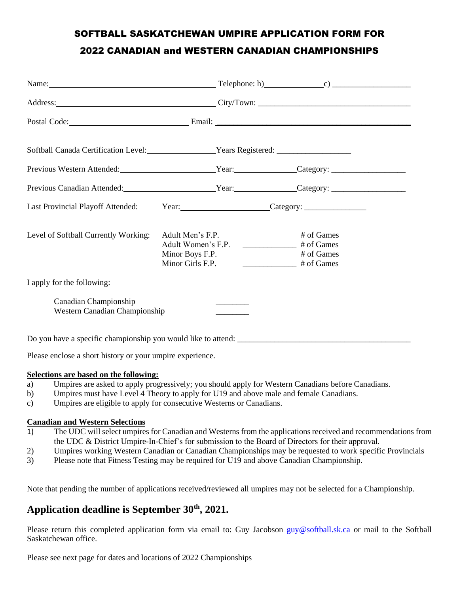## SOFTBALL SASKATCHEWAN UMPIRE APPLICATION FORM FOR 2022 CANADIAN and WESTERN CANADIAN CHAMPIONSHIPS

| Name: $\_\_$ $\_\_$                                                              |                                                                               |                                                                                                                                                                                                                                                                                                                                                                                                                                                                                                                 |  |
|----------------------------------------------------------------------------------|-------------------------------------------------------------------------------|-----------------------------------------------------------------------------------------------------------------------------------------------------------------------------------------------------------------------------------------------------------------------------------------------------------------------------------------------------------------------------------------------------------------------------------------------------------------------------------------------------------------|--|
| Address: City/Town: City/Town:                                                   |                                                                               |                                                                                                                                                                                                                                                                                                                                                                                                                                                                                                                 |  |
| Postal Code: Email: Email:                                                       |                                                                               |                                                                                                                                                                                                                                                                                                                                                                                                                                                                                                                 |  |
| Softball Canada Certification Level: Vears Registered: _________________________ |                                                                               |                                                                                                                                                                                                                                                                                                                                                                                                                                                                                                                 |  |
|                                                                                  |                                                                               |                                                                                                                                                                                                                                                                                                                                                                                                                                                                                                                 |  |
|                                                                                  |                                                                               |                                                                                                                                                                                                                                                                                                                                                                                                                                                                                                                 |  |
| Last Provincial Playoff Attended:                                                |                                                                               |                                                                                                                                                                                                                                                                                                                                                                                                                                                                                                                 |  |
| Level of Softball Currently Working:                                             | Adult Men's F.P.<br>Adult Women's F.P.<br>Minor Boys F.P.<br>Minor Girls F.P. | $\frac{1}{\sqrt{1 + \frac{1}{\sqrt{1 + \frac{1}{\sqrt{1 + \frac{1}{\sqrt{1 + \frac{1}{\sqrt{1 + \frac{1}{\sqrt{1 + \frac{1}{\sqrt{1 + \frac{1}{\sqrt{1 + \frac{1}{\sqrt{1 + \frac{1}{\sqrt{1 + \frac{1}{\sqrt{1 + \frac{1}{\sqrt{1 + \frac{1}{\sqrt{1 + \frac{1}{\sqrt{1 + \frac{1}{\sqrt{1 + \frac{1}{\sqrt{1 + \frac{1}{\sqrt{1 + \frac{1}{\sqrt{1 + \frac{1}{\sqrt{1 + \frac{1}{\sqrt{1 + \frac{1}{\sqrt{1 + \frac{1}{\sqrt{1 +$<br>$\frac{1}{\sqrt{1-\frac{1}{2}}}\$ # of Games<br># of Games<br># of Games |  |
| I apply for the following:                                                       |                                                                               |                                                                                                                                                                                                                                                                                                                                                                                                                                                                                                                 |  |
| Canadian Championship<br>Western Canadian Championship                           |                                                                               |                                                                                                                                                                                                                                                                                                                                                                                                                                                                                                                 |  |
|                                                                                  |                                                                               |                                                                                                                                                                                                                                                                                                                                                                                                                                                                                                                 |  |
| Please enclose a short history or your umpire experience.                        |                                                                               |                                                                                                                                                                                                                                                                                                                                                                                                                                                                                                                 |  |

### **Selections are based on the following:**

- a) Umpires are asked to apply progressively; you should apply for Western Canadians before Canadians.
- b) Umpires must have Level 4 Theory to apply for U19 and above male and female Canadians.
- c) Umpires are eligible to apply for consecutive Westerns or Canadians.

#### **Canadian and Western Selections**

- 1) The UDC will select umpires for Canadian and Westerns from the applications received and recommendations from the UDC & District Umpire-In-Chief's for submission to the Board of Directors for their approval.
- 2) Umpires working Western Canadian or Canadian Championships may be requested to work specific Provincials
- 3) Please note that Fitness Testing may be required for U19 and above Canadian Championship.

Note that pending the number of applications received/reviewed all umpires may not be selected for a Championship.

### **Application deadline is September 30th, 2021.**

Please return this completed application form via email to: Guy Jacobson [guy@softball.sk.ca](mailto:guy@softball.sk.ca) or mail to the Softball Saskatchewan office.

Please see next page for dates and locations of 2022 Championships